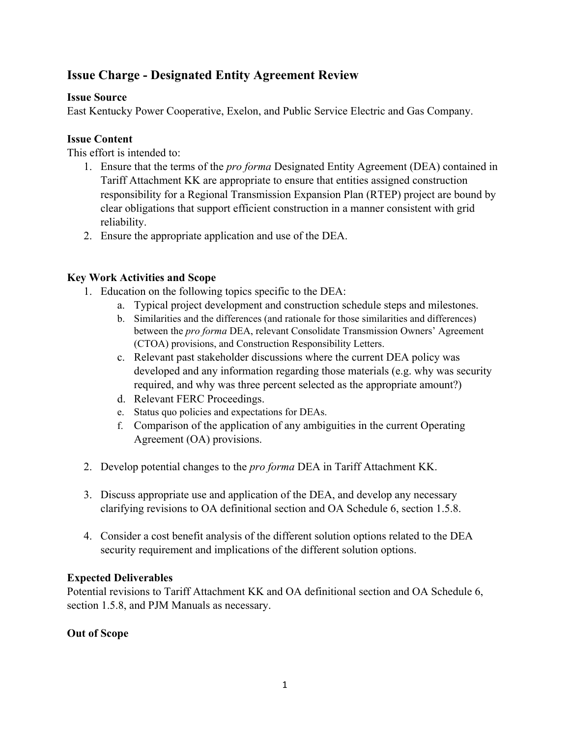# **Issue Charge - Designated Entity Agreement Review**

### **Issue Source**

East Kentucky Power Cooperative, Exelon, and Public Service Electric and Gas Company.

### **Issue Content**

This effort is intended to:

- 1. Ensure that the terms of the *pro forma* Designated Entity Agreement (DEA) contained in Tariff Attachment KK are appropriate to ensure that entities assigned construction responsibility for a Regional Transmission Expansion Plan (RTEP) project are bound by clear obligations that support efficient construction in a manner consistent with grid reliability.
- 2. Ensure the appropriate application and use of the DEA.

### **Key Work Activities and Scope**

- 1. Education on the following topics specific to the DEA:
	- a. Typical project development and construction schedule steps and milestones.
	- b. Similarities and the differences (and rationale for those similarities and differences) between the *pro forma* DEA, relevant Consolidate Transmission Owners' Agreement (CTOA) provisions, and Construction Responsibility Letters.
	- c. Relevant past stakeholder discussions where the current DEA policy was developed and any information regarding those materials (e.g. why was security required, and why was three percent selected as the appropriate amount?)
	- d. Relevant FERC Proceedings.
	- e. Status quo policies and expectations for DEAs.
	- f. Comparison of the application of any ambiguities in the current Operating Agreement (OA) provisions.
- 2. Develop potential changes to the *pro forma* DEA in Tariff Attachment KK.
- 3. Discuss appropriate use and application of the DEA, and develop any necessary clarifying revisions to OA definitional section and OA Schedule 6, section 1.5.8.
- 4. Consider a cost benefit analysis of the different solution options related to the DEA security requirement and implications of the different solution options.

# **Expected Deliverables**

Potential revisions to Tariff Attachment KK and OA definitional section and OA Schedule 6, section 1.5.8, and PJM Manuals as necessary.

# **Out of Scope**